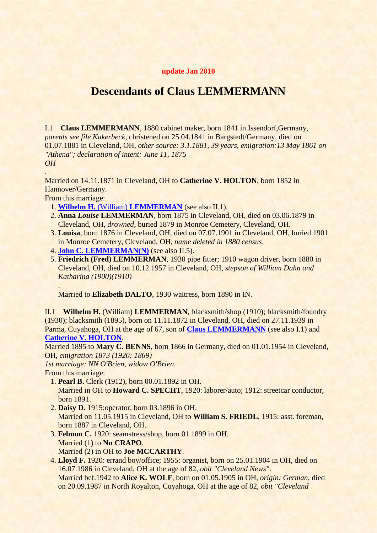## <span id="page-0-2"></span>**update Jan 2010**

## **Descendants of Claus LEMMERMANN**

<span id="page-0-1"></span>I.1 **Claus LEMMERMANN**, 1880 cabinet maker, born 1841 in Issendorf,Germany, *parents see file Kakerbeck*, christened on 25.04.1841 in Bargstedt/Germany, died on 01.07.1881 in Cleveland, OH, *other source: 3.1.1881, 39 years*, *emigration:13 May 1861 on "Athena"; declaration of intent: June 11, 1875 OH*

Married on 14.11.1871 in Cleveland, OH to **Catherine V. HOLTON**, born 1852 in Hannover/Germany.

From this marriage:

.

.

- 1. **Wilhelm H.** (William) **[LEMMERMAN](#page-0-0)** (see also II.1).
- 2. **Anna** *Louise* **LEMMERMAN**, born 1875 in Cleveland, OH, died on 03.06.1879 in Cleveland, OH, *drowned*, buried 1879 in Monroe Cemetery, Cleveland, OH.
- 3. **Louisa**, born 1876 in Cleveland, OH, died on 07.07.1901 in Cleveland, OH, buried 1901 in Monroe Cemetery, Cleveland, OH, *name deleted in 1880 census*.
- 4. **[John C. LEMMERMAN\(N\)](#page-1-0)** (see also II.5).
- 5. **Friedrich (Fred) LEMMERMAN**, 1930 pipe fitter; 1910 wagon driver, born 1880 in Cleveland, OH, died on 10.12.1957 in Cleveland, OH, *stepson of William Dahn and Katharina (1900)(1910)*

Married to **Elizabeth DALTO**, 1930 waitress, born 1890 in IN.

<span id="page-0-0"></span>II.1 **Wilhelm H.** (William) **LEMMERMAN**, blacksmith/shop (1910); blacksmith/foundry (1930); blacksmith (1895), born on 11.11.1872 in Cleveland, OH, died on 27.11.1939 in Parma, Cuyahoga, OH at the age of 67, son of **[Claus LEMMERMANN](#page-0-1)** (see also I.1) and **[Catherine V. HOLTON](#page-0-2)**.

Married 1895 to **Mary C. BENNS**, born 1866 in Germany, died on 01.01.1954 in Cleveland, OH, *emigration 1873 (1920: 1869)*

*1st marriage: NN O'Brien*, *widow O'Brien*.

From this marriage:

- 1. **Pearl B.** Clerk (1912), born 00.01.1892 in OH. Married in OH to **Howard C. SPECHT**, 1920: laborer/auto; 1912: streetcar conductor, born 1891.
- 2. **Daisy D.** 1915:operator, born 03.1896 in OH. Married on 11.05.1915 in Cleveland, OH to **William S. FRIEDL**, 1915: asst. foreman, born 1887 in Cleveland, OH.
- 3. **Felmon C.** 1920: seamstress/shop, born 01.1899 in OH. Married (1) to **Nn CRAPO**. Married (2) in OH to **Joe MCCARTHY**.
- 4. **Lloyd F.** 1920: errand boy/office; 1955: organist, born on 25.01.1904 in OH, died on 16.07.1986 in Cleveland, OH at the age of 82, *obit "Cleveland News"*. Married bef.1942 to **Alice K. WOLF**, born on 01.05.1905 in OH, *origin: German*, died on 20.09.1987 in North Royalton, Cuyahoga, OH at the age of 82, *obit "Cleveland*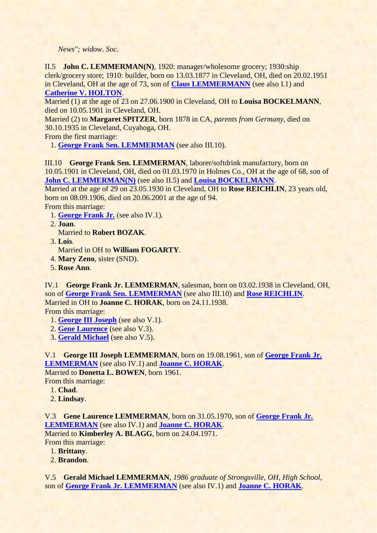<span id="page-1-2"></span>*News"; widow*. *Soc*.

<span id="page-1-0"></span>II.5 **John C. LEMMERMAN(N)**, 1920: manager/wholesome grocery; 1930:ship clerk/grocery store; 1910: builder, born on 13.03.1877 in Cleveland, OH, died on 20.02.1951 in Cleveland, OH at the age of 73, son of **[Claus LEMMERMANN](#page-0-1)** (see also I.1) and **[Catherine V. HOLTON](#page-0-2)**.

Married (1) at the age of 23 on 27.06.1900 in Cleveland, OH to **Louisa BOCKELMANN**, died on 10.05.1901 in Cleveland, OH.

Married (2) to **Margaret SPITZER**, born 1878 in CA, *parents from Germany*, died on 30.10.1935 in Cleveland, Cuyahoga, OH.

From the first marriage:

1. **[George Frank Sen. LEMMERMAN](#page-1-1)** (see also III.10).

<span id="page-1-1"></span>III.10 **George Frank Sen. LEMMERMAN**, laborer/softdrink manufactury, born on 10.05.1901 in Cleveland, OH, died on 01.03.1970 in Holmes Co., OH at the age of 68, son of **[John C. LEMMERMAN\(N\)](#page-1-0)** (see also II.5) and **[Louisa BOCKELMANN](#page-1-2)**.

Married at the age of 29 on 23.05.1930 in Cleveland, OH to **Rose REICHLIN**, 23 years old, born on 08.09.1906, died on 20.06.2001 at the age of 94.

From this marriage:

- <span id="page-1-4"></span>1. **[George Frank Jr.](#page-1-3)** (see also IV.1).
- 2. **Joan**.
	- Married to **Robert BOZAK**.
- 3. **Lois**.

Married in OH to **William FOGARTY**.

- 4. **Mary Zeno**, sister (SND).
- 5. **Rose Ann**.

<span id="page-1-3"></span>IV.1 **George Frank Jr. LEMMERMAN**, salesman, born on 03.02.1938 in Cleveland, OH, son of **[George Frank Sen. LEMMERMAN](#page-1-1)** (see also III.10) and **[Rose REICHLIN](#page-1-4)**. Married in OH to **Joanne C. HORAK**, born on 24.11.1938. From this marriage:

- <span id="page-1-8"></span>1. **[George III Joseph](#page-1-5)** (see also V.1).
- 2. **[Gene Laurence](#page-1-6)** (see also V.3).
- 3. **[Gerald Michael](#page-1-7)** (see also V.5).

<span id="page-1-5"></span>V.1 **George III Joseph LEMMERMAN**, born on 19.08.1961, son of **[George Frank Jr.](#page-1-3)  [LEMMERMAN](#page-1-3)** (see also IV.1) and **[Joanne C. HORAK](#page-1-8)**.

Married to **Donetta L. BOWEN**, born 1961. From this marriage:

- 1. **Chad**.
- 2. **Lindsay**.

<span id="page-1-6"></span>V.3 **Gene Laurence LEMMERMAN**, born on 31.05.1970, son of **[George Frank Jr.](#page-1-3)  [LEMMERMAN](#page-1-3)** (see also IV.1) and **[Joanne C. HORAK](#page-1-8)**.

Married to **Kimberley A. BLAGG**, born on 24.04.1971.

From this marriage:

- 1. **Brittany**.
- 2. **Brandon**.

<span id="page-1-7"></span>V.5 **Gerald Michael LEMMERMAN**, *1986 graduate of Strongsville, OH, High School*, son of **[George Frank Jr. LEMMERMAN](#page-1-3)** (see also IV.1) and **[Joanne C. HORAK](#page-1-8)**.